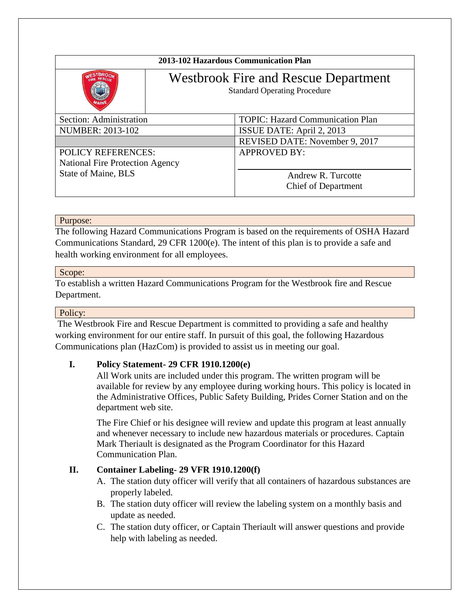| 2013-102 Hazardous Communication Plan  |                                                                                    |                                         |
|----------------------------------------|------------------------------------------------------------------------------------|-----------------------------------------|
|                                        | <b>Westbrook Fire and Rescue Department</b><br><b>Standard Operating Procedure</b> |                                         |
| Section: Administration                |                                                                                    | <b>TOPIC: Hazard Communication Plan</b> |
| <b>NUMBER: 2013-102</b>                |                                                                                    | ISSUE DATE: April 2, 2013               |
|                                        |                                                                                    | REVISED DATE: November 9, 2017          |
| <b>POLICY REFERENCES:</b>              |                                                                                    | <b>APPROVED BY:</b>                     |
| <b>National Fire Protection Agency</b> |                                                                                    |                                         |
| State of Maine, BLS                    |                                                                                    | Andrew R. Turcotte                      |
|                                        |                                                                                    | <b>Chief of Department</b>              |

## Purpose:

The following Hazard Communications Program is based on the requirements of OSHA Hazard Communications Standard, 29 CFR 1200(e). The intent of this plan is to provide a safe and health working environment for all employees.

## Scope:

To establish a written Hazard Communications Program for the Westbrook fire and Rescue Department.

## Policy:

The Westbrook Fire and Rescue Department is committed to providing a safe and healthy working environment for our entire staff. In pursuit of this goal, the following Hazardous Communications plan (HazCom) is provided to assist us in meeting our goal.

# **I. Policy Statement- 29 CFR 1910.1200(e)**

All Work units are included under this program. The written program will be available for review by any employee during working hours. This policy is located in the Administrative Offices, Public Safety Building, Prides Corner Station and on the department web site.

The Fire Chief or his designee will review and update this program at least annually and whenever necessary to include new hazardous materials or procedures. Captain Mark Theriault is designated as the Program Coordinator for this Hazard Communication Plan.

# **II. Container Labeling- 29 VFR 1910.1200(f)**

- A. The station duty officer will verify that all containers of hazardous substances are properly labeled.
- B. The station duty officer will review the labeling system on a monthly basis and update as needed.
- C. The station duty officer, or Captain Theriault will answer questions and provide help with labeling as needed.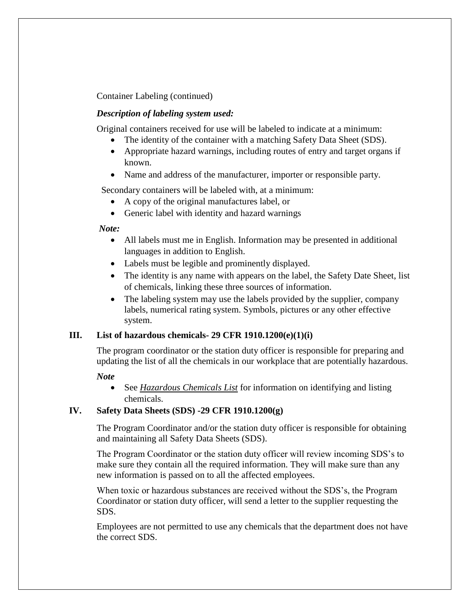Container Labeling (continued)

#### *Description of labeling system used:*

Original containers received for use will be labeled to indicate at a minimum:

- The identity of the container with a matching Safety Data Sheet (SDS).
- Appropriate hazard warnings, including routes of entry and target organs if known.
- Name and address of the manufacturer, importer or responsible party.

Secondary containers will be labeled with, at a minimum:

- A copy of the original manufactures label, or
- Generic label with identity and hazard warnings

#### *Note:*

- All labels must me in English. Information may be presented in additional languages in addition to English.
- Labels must be legible and prominently displayed.
- The identity is any name with appears on the label, the Safety Date Sheet, list of chemicals, linking these three sources of information.
- The labeling system may use the labels provided by the supplier, company labels, numerical rating system. Symbols, pictures or any other effective system.

## **III. List of hazardous chemicals- 29 CFR 1910.1200(e)(1)(i)**

The program coordinator or the station duty officer is responsible for preparing and updating the list of all the chemicals in our workplace that are potentially hazardous.

#### *Note*

• See *Hazardous Chemicals List* for information on identifying and listing chemicals.

## **IV. Safety Data Sheets (SDS) -29 CFR 1910.1200(g)**

The Program Coordinator and/or the station duty officer is responsible for obtaining and maintaining all Safety Data Sheets (SDS).

The Program Coordinator or the station duty officer will review incoming SDS's to make sure they contain all the required information. They will make sure than any new information is passed on to all the affected employees.

When toxic or hazardous substances are received without the SDS's, the Program Coordinator or station duty officer, will send a letter to the supplier requesting the SDS.

Employees are not permitted to use any chemicals that the department does not have the correct SDS.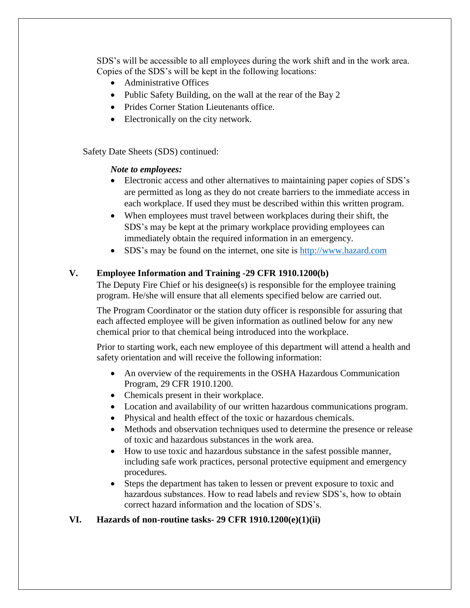SDS's will be accessible to all employees during the work shift and in the work area. Copies of the SDS's will be kept in the following locations:

- Administrative Offices
- Public Safety Building, on the wall at the rear of the Bay 2
- Prides Corner Station Lieutenants office.
- Electronically on the city network.

Safety Date Sheets (SDS) continued:

#### *Note to employees:*

- Electronic access and other alternatives to maintaining paper copies of SDS's are permitted as long as they do not create barriers to the immediate access in each workplace. If used they must be described within this written program.
- When employees must travel between workplaces during their shift, the SDS's may be kept at the primary workplace providing employees can immediately obtain the required information in an emergency.
- SDS's may be found on the internet, one site is [http://www.hazard.com](http://www.hazard.com/)

## **V. Employee Information and Training -29 CFR 1910.1200(b)**

The Deputy Fire Chief or his designee(s) is responsible for the employee training program. He/she will ensure that all elements specified below are carried out.

The Program Coordinator or the station duty officer is responsible for assuring that each affected employee will be given information as outlined below for any new chemical prior to that chemical being introduced into the workplace.

Prior to starting work, each new employee of this department will attend a health and safety orientation and will receive the following information:

- An overview of the requirements in the OSHA Hazardous Communication Program, 29 CFR 1910.1200.
- Chemicals present in their workplace.
- Location and availability of our written hazardous communications program.
- Physical and health effect of the toxic or hazardous chemicals.
- Methods and observation techniques used to determine the presence or release of toxic and hazardous substances in the work area.
- How to use toxic and hazardous substance in the safest possible manner, including safe work practices, personal protective equipment and emergency procedures.
- Steps the department has taken to lessen or prevent exposure to toxic and hazardous substances. How to read labels and review SDS's, how to obtain correct hazard information and the location of SDS's.

## **VI. Hazards of non-routine tasks- 29 CFR 1910.1200(e)(1)(ii)**